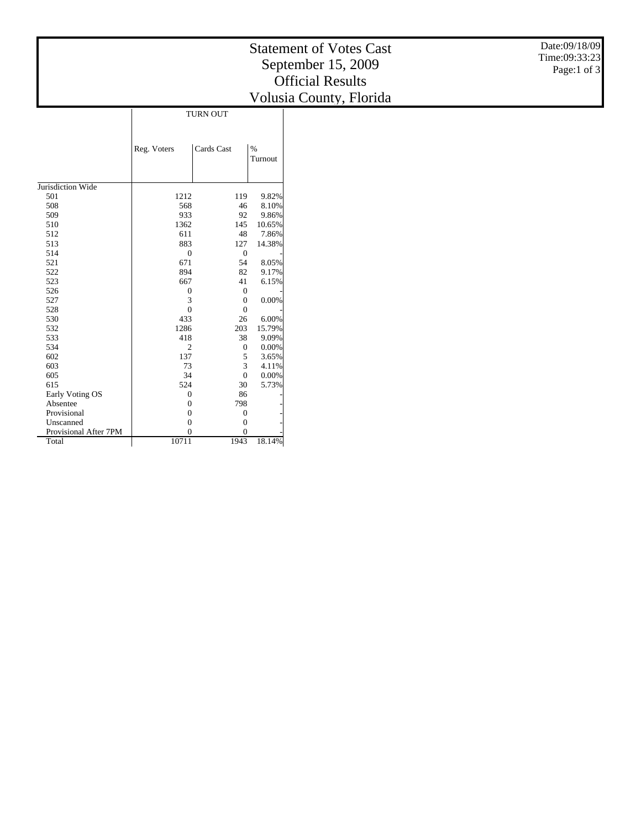## Statement of Votes Cast September 15, 2009 Official Results Volusia County, Florida

|                       | <b>TURN OUT</b> |                |                 |  |  |
|-----------------------|-----------------|----------------|-----------------|--|--|
|                       | Reg. Voters     | Cards Cast     | $\%$<br>Turnout |  |  |
| Jurisdiction Wide     |                 |                |                 |  |  |
| 501                   | 1212            | 119            | 9.82%           |  |  |
| 508                   | 568             | 46             | 8.10%           |  |  |
| 509                   | 933             | 92             | 9.86%           |  |  |
| 510                   | 1362            | 145            | 10.65%          |  |  |
| 512                   | 611             | 48             | 7.86%           |  |  |
| 513                   | 883             | 127            | 14.38%          |  |  |
| 514                   | $\mathbf{0}$    | $\mathbf{0}$   |                 |  |  |
| 521                   | 671             | 54             | 8.05%           |  |  |
| 522                   | 894             | 82             | 9.17%           |  |  |
| 523                   | 667             | 41             | 6.15%           |  |  |
| 526                   | $\mathbf{0}$    | $\overline{0}$ |                 |  |  |
| 527                   | 3               | $\theta$       | 0.00%           |  |  |
| 528                   | $\theta$        | $\theta$       |                 |  |  |
| 530                   | 433             | 26             | 6.00%           |  |  |
| 532                   | 1286            | 203            | 15.79%          |  |  |
| 533                   | 418             | 38             | 9.09%           |  |  |
| 534                   | $\overline{2}$  | $\mathbf{0}$   | 0.00%           |  |  |
| 602                   | 137             | 5              | 3.65%           |  |  |
| 603                   | 73              | 3              | 4.11%           |  |  |
| 605                   | 34              | $\overline{0}$ | 0.00%           |  |  |
| 615                   | 524             | 30             | 5.73%           |  |  |
| Early Voting OS       | $\mathbf{0}$    | 86             |                 |  |  |
| Absentee              | $\Omega$        | 798            |                 |  |  |
| Provisional           | $\mathbf{0}$    | $\overline{0}$ |                 |  |  |
| Unscanned             | $\overline{0}$  | $\overline{0}$ |                 |  |  |
| Provisional After 7PM | $\theta$        | $\Omega$       |                 |  |  |
| Total                 | 10711           | 1943           | 18.14%          |  |  |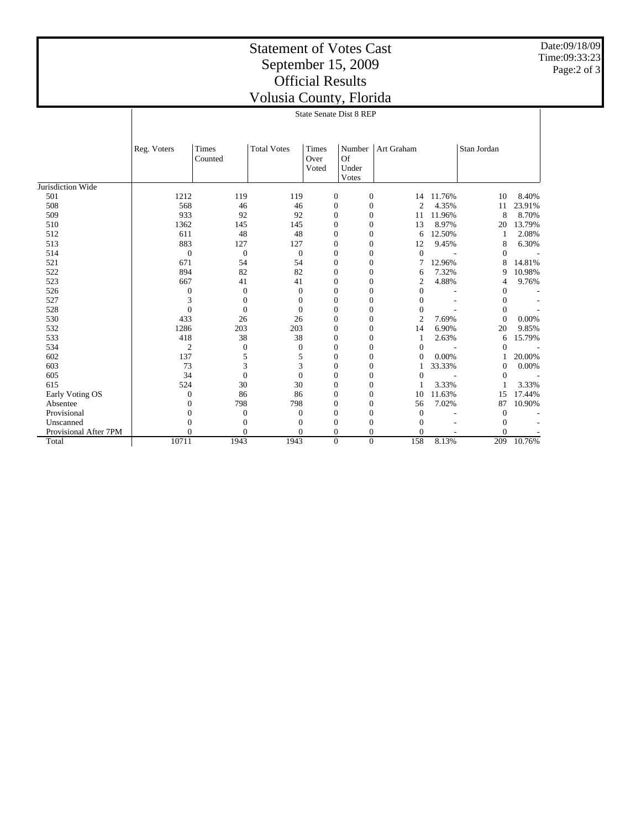## Statement of Votes Cast September 15, 2009 Official Results Volusia County, Florida

Date:09/18/09 Time:09:33:23 Page:2 of 3

|                       | <b>State Senate Dist 8 REP</b> |                  |                    |                               |                                |                  |                |                |        |
|-----------------------|--------------------------------|------------------|--------------------|-------------------------------|--------------------------------|------------------|----------------|----------------|--------|
|                       | Reg. Voters                    | Times<br>Counted | <b>Total Votes</b> | <b>Times</b><br>Over<br>Voted | Number<br>Of<br>Under<br>Votes | Art Graham       |                | Stan Jordan    |        |
| Jurisdiction Wide     |                                |                  |                    |                               |                                |                  |                |                |        |
| 501                   | 1212                           | 119              | 119                | $\boldsymbol{0}$              | $\boldsymbol{0}$               | 14               | 11.76%         | 10             | 8.40%  |
| 508                   | 568                            | 46               | 46                 | $\mathbf{0}$                  | $\mathbf{0}$                   | $\overline{c}$   | 4.35%          | 11             | 23.91% |
| 509                   | 933                            | 92               | 92                 | $\boldsymbol{0}$              | $\mathbf{0}$                   | 11               | 11.96%         | 8              | 8.70%  |
| 510                   | 1362                           | 145              | 145                | $\boldsymbol{0}$              | $\mathbf{0}$                   | 13               | 8.97%          | 20             | 13.79% |
| 512                   | 611                            | 48               | 48                 | $\mathbf{0}$                  | $\overline{0}$                 | 6                | 12.50%         | 1              | 2.08%  |
| 513                   | 883                            | 127              | 127                | $\boldsymbol{0}$              | $\mathbf{0}$                   | 12               | 9.45%          | 8              | 6.30%  |
| 514                   | $\theta$                       | $\theta$         | $\mathbf{0}$       | $\mathbf{0}$                  | $\overline{0}$                 | $\mathbf{0}$     | $\overline{a}$ | $\theta$       |        |
| 521                   | 671                            | 54               | 54                 | $\boldsymbol{0}$              | $\mathbf{0}$                   | 7                | 12.96%         | 8              | 14.81% |
| 522                   | 894                            | 82               | 82                 | $\boldsymbol{0}$              | 0                              | 6                | 7.32%          | 9              | 10.98% |
| 523                   | 667                            | 41               | 41                 | $\boldsymbol{0}$              | 0                              | $\boldsymbol{2}$ | 4.88%          | 4              | 9.76%  |
| 526                   | 0                              | $\boldsymbol{0}$ | $\mathbf{0}$       | $\boldsymbol{0}$              | 0                              | $\overline{0}$   |                | 0              |        |
| 527                   | 3                              | $\theta$         | $\mathbf{0}$       | $\boldsymbol{0}$              | 0                              | $\theta$         |                | 0              |        |
| 528                   | $\overline{0}$                 | $\theta$         | $\mathbf{0}$       | $\boldsymbol{0}$              | $\overline{0}$                 | $\theta$         |                | $\mathbf{0}$   |        |
| 530                   | 433                            | 26               | 26                 | $\mathbf{0}$                  | $\overline{0}$                 | $\mathfrak{2}$   | 7.69%          | $\mathbf{0}$   | 0.00%  |
| 532                   | 1286                           | 203              | 203                | $\mathbf{0}$                  | $\mathbf{0}$                   | 14               | 6.90%          | 20             | 9.85%  |
| 533                   | 418                            | 38               | 38                 | $\boldsymbol{0}$              | $\mathbf{0}$                   | $\mathbf{1}$     | 2.63%          | 6              | 15.79% |
| 534                   | $\overline{2}$                 | $\theta$         | $\mathbf{0}$       | $\boldsymbol{0}$              | $\overline{0}$                 | $\mathbf{0}$     |                | $\overline{0}$ |        |
| 602                   | 137                            | 5                | 5                  | $\mathbf{0}$                  | $\overline{0}$                 | $\mathbf{0}$     | 0.00%          |                | 20.00% |
| 603                   | 73                             | 3                | 3                  | $\mathbf{0}$                  | $\overline{0}$                 | 1                | 33.33%         | $\mathbf{0}$   | 0.00%  |
| 605                   | 34                             | $\theta$         | $\mathbf{0}$       | $\boldsymbol{0}$              | $\overline{0}$                 | $\overline{0}$   |                | $\mathbf{0}$   |        |
| 615                   | 524                            | 30               | 30                 | $\boldsymbol{0}$              | 0                              | 1                | 3.33%          | 1              | 3.33%  |
| Early Voting OS       | $\mathbf{0}$                   | 86               | 86                 | $\boldsymbol{0}$              | 0                              | 10               | 11.63%         | 15             | 17.44% |
| Absentee              | $\theta$                       | 798              | 798                | $\boldsymbol{0}$              | 0                              | 56               | 7.02%          | 87             | 10.90% |
| Provisional           | $\theta$                       | $\mathbf{0}$     | $\boldsymbol{0}$   | $\boldsymbol{0}$              | 0                              | $\theta$         |                | $\overline{0}$ |        |
| Unscanned             | $\theta$                       | $\theta$         | $\mathbf{0}$       | $\boldsymbol{0}$              | 0                              | $\Omega$         |                | $\theta$       |        |
| Provisional After 7PM | $\Omega$                       | $\theta$         | 0                  | $\mathbf{0}$                  | $\Omega$                       | 0                |                | 0              |        |
| Total                 | 10711                          | 1943             | 1943               | $\overline{0}$                | $\theta$                       | 158              | 8.13%          | 209            | 10.76% |